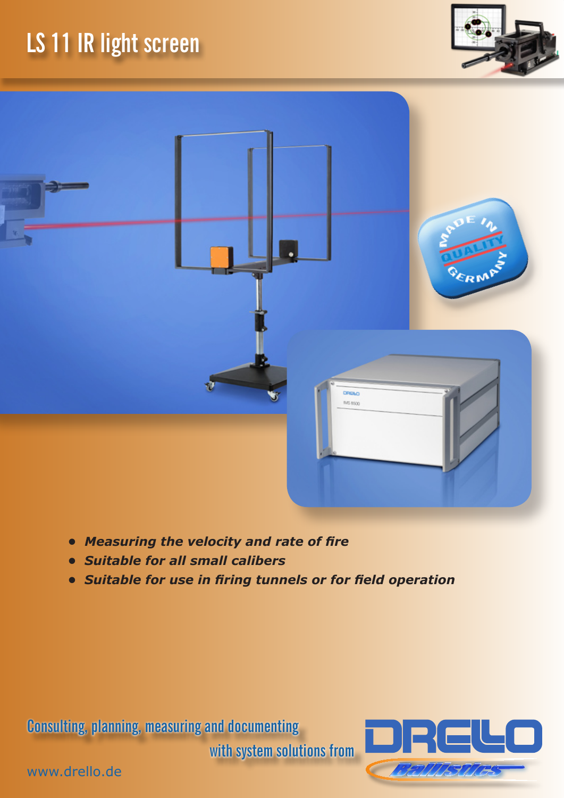## **LS 11 IR light screen**





- *• Measuring the velocity and rate of fire*
- *• Suitable for all small calibers*
- *• Suitable for use in firing tunnels or for field operation*

**Consulting, planning, measuring and documenting** 

**with system solutions from**



www.drello.de